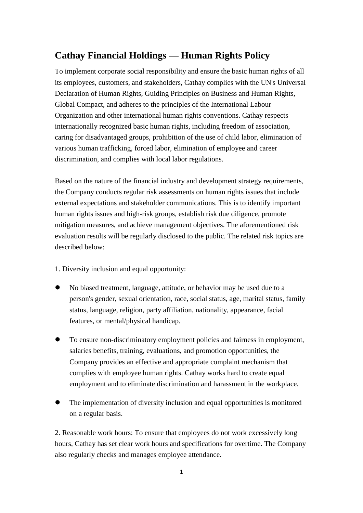## **Cathay Financial Holdings — Human Rights Policy**

To implement corporate social responsibility and ensure the basic human rights of all its employees, customers, and stakeholders, Cathay complies with the UN's Universal Declaration of Human Rights, Guiding Principles on Business and Human Rights, Global Compact, and adheres to the principles of the International Labour Organization and other international human rights conventions. Cathay respects internationally recognized basic human rights, including freedom of association, caring for disadvantaged groups, prohibition of the use of child labor, elimination of various human trafficking, forced labor, elimination of employee and career discrimination, and complies with local labor regulations.

Based on the nature of the financial industry and development strategy requirements, the Company conducts regular risk assessments on human rights issues that include external expectations and stakeholder communications. This is to identify important human rights issues and high-risk groups, establish risk due diligence, promote mitigation measures, and achieve management objectives. The aforementioned risk evaluation results will be regularly disclosed to the public. The related risk topics are described below:

1. Diversity inclusion and equal opportunity:

- No biased treatment, language, attitude, or behavior may be used due to a person's gender, sexual orientation, race, social status, age, marital status, family status, language, religion, party affiliation, nationality, appearance, facial features, or mental/physical handicap.
- To ensure non-discriminatory employment policies and fairness in employment, salaries benefits, training, evaluations, and promotion opportunities, the Company provides an effective and appropriate complaint mechanism that complies with employee human rights. Cathay works hard to create equal employment and to eliminate discrimination and harassment in the workplace.
- The implementation of diversity inclusion and equal opportunities is monitored on a regular basis.

2. Reasonable work hours: To ensure that employees do not work excessively long hours, Cathay has set clear work hours and specifications for overtime. The Company also regularly checks and manages employee attendance.